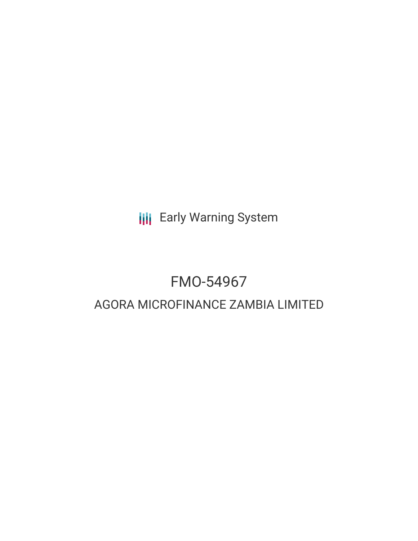**III** Early Warning System

# FMO-54967

# AGORA MICROFINANCE ZAMBIA LIMITED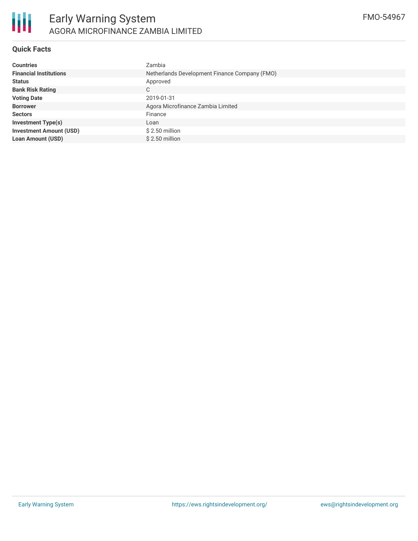# **Quick Facts**

| <b>Countries</b>               | Zambia                                        |
|--------------------------------|-----------------------------------------------|
| <b>Financial Institutions</b>  | Netherlands Development Finance Company (FMO) |
| <b>Status</b>                  | Approved                                      |
| <b>Bank Risk Rating</b>        | C.                                            |
| <b>Voting Date</b>             | 2019-01-31                                    |
| <b>Borrower</b>                | Agora Microfinance Zambia Limited             |
| <b>Sectors</b>                 | Finance                                       |
| <b>Investment Type(s)</b>      | Loan                                          |
| <b>Investment Amount (USD)</b> | $$2.50$ million                               |
| <b>Loan Amount (USD)</b>       | $$2.50$ million                               |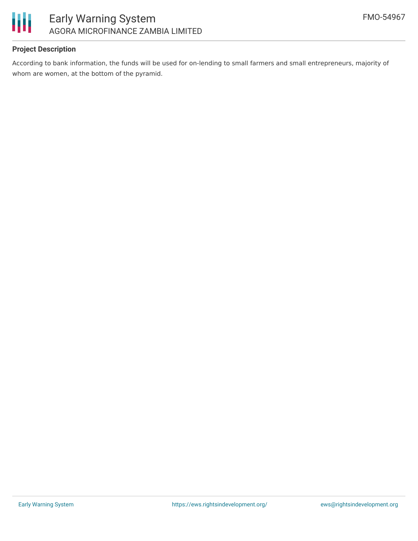

# **Project Description**

According to bank information, the funds will be used for on-lending to small farmers and small entrepreneurs, majority of whom are women, at the bottom of the pyramid.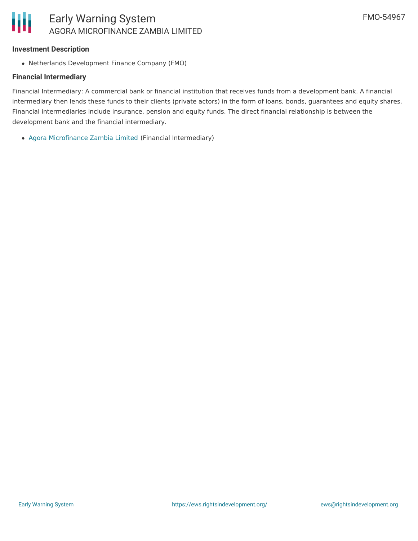#### **Investment Description**

Netherlands Development Finance Company (FMO)

#### **Financial Intermediary**

Financial Intermediary: A commercial bank or financial institution that receives funds from a development bank. A financial intermediary then lends these funds to their clients (private actors) in the form of loans, bonds, guarantees and equity shares. Financial intermediaries include insurance, pension and equity funds. The direct financial relationship is between the development bank and the financial intermediary.

Agora [Microfinance](file:///actor/1838/) Zambia Limited (Financial Intermediary)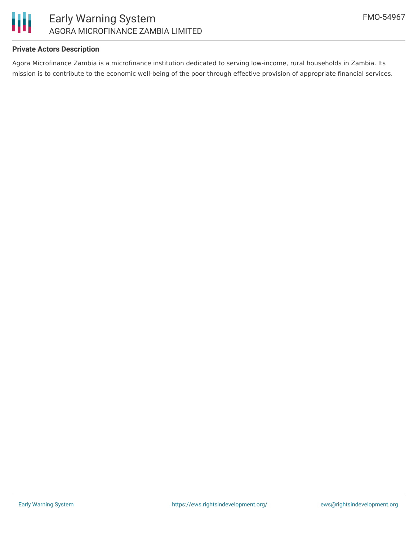

# **Private Actors Description**

Agora Microfinance Zambia is a microfinance institution dedicated to serving low-income, rural households in Zambia. Its mission is to contribute to the economic well-being of the poor through effective provision of appropriate financial services.